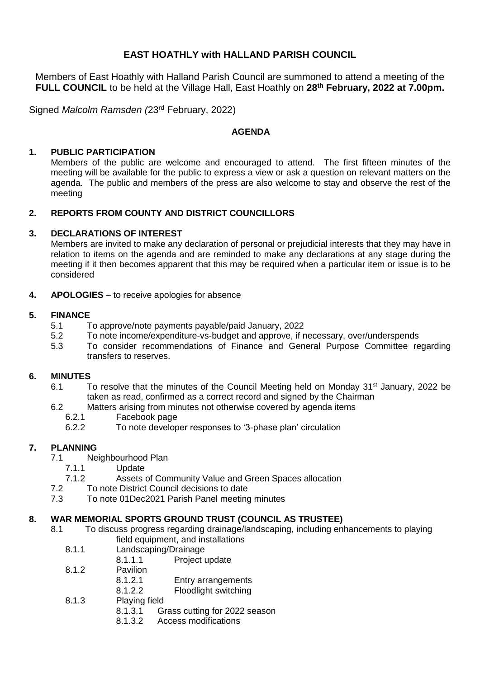# **EAST HOATHLY with HALLAND PARISH COUNCIL**

Members of East Hoathly with Halland Parish Council are summoned to attend a meeting of the **FULL COUNCIL** to be held at the Village Hall, East Hoathly on **28th February, 2022 at 7.00pm.**

Signed *Malcolm Ramsden (*23rd February, 2022)

#### **AGENDA**

# **1. PUBLIC PARTICIPATION**

Members of the public are welcome and encouraged to attend. The first fifteen minutes of the meeting will be available for the public to express a view or ask a question on relevant matters on the agenda. The public and members of the press are also welcome to stay and observe the rest of the meeting

# **2. REPORTS FROM COUNTY AND DISTRICT COUNCILLORS**

#### **3. DECLARATIONS OF INTEREST**

Members are invited to make any declaration of personal or prejudicial interests that they may have in relation to items on the agenda and are reminded to make any declarations at any stage during the meeting if it then becomes apparent that this may be required when a particular item or issue is to be considered

**4. APOLOGIES** – to receive apologies for absence

# **5. FINANCE**

- 5.1 To approve/note payments payable/paid January, 2022
- 5.2 To note income/expenditure-vs-budget and approve, if necessary, over/underspends
- 5.3 To consider recommendations of Finance and General Purpose Committee regarding transfers to reserves.

#### **6. MINUTES**

- 6.1 To resolve that the minutes of the Council Meeting held on Monday 31<sup>st</sup> January, 2022 be taken as read, confirmed as a correct record and signed by the Chairman
- 6.2 Matters arising from minutes not otherwise covered by agenda items
	- 6.2.1 Facebook page
	- 6.2.2 To note developer responses to '3-phase plan' circulation

# **7. PLANNING**

- 7.1 Neighbourhood Plan
	- 7.1.1 Update
	- 7.1.2 Assets of Community Value and Green Spaces allocation
- 7.2 To note District Council decisions to date
- 7.3 To note 01Dec2021 Parish Panel meeting minutes

#### **8. WAR MEMORIAL SPORTS GROUND TRUST (COUNCIL AS TRUSTEE)**

- 8.1 To discuss progress regarding drainage/landscaping, including enhancements to playing field equipment, and installations
	- 8.1.1 Landscaping/Drainage<br>8.1.1.1 Project u
		- Project update
	- 8.1.2 Pavilion
		- 8.1.2.1 Entry arrangements
		- 8.1.2.2 Floodlight switching
	- 8.1.3 Playing field<br>8.1.3.1 G
		- Grass cutting for 2022 season
		- 8.1.3.2 Access modifications